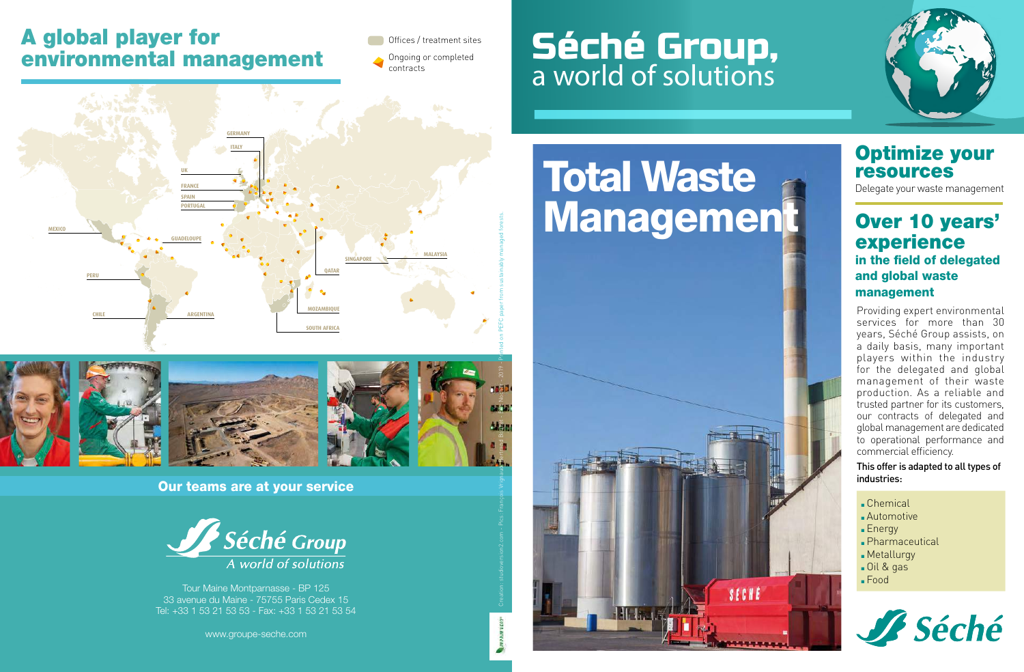## A global player for environmental management

Offices / treatment sites

Ongoing or completed contracts

# Séché Group, a world of solutions





#### Our teams are at your service



Tour Maine Montparnasse - BP 125 33 avenue du Maine - 75755 Paris Cedex 15 Tel: +33 1 53 21 53 53 - Fax: +33 1 53 21 53 54

www.groupe-seche.com

# Total Waste





## Optimize your resources

Delegate your waste management

### Over 10 years' experience in the field of delegated and global waste management

Providing expert environmental services for more than 30 years, Séché Group assists, on a daily basis, many important players within the industry for the delegated and global management of their waste production. As a reliable and trusted partner for its customers, our contracts of delegated and global management are dedicated to operational performance and commercial efficiency.

#### This offer is adapted to all types of industries:

- <sup>n</sup> Chemical
- **Automotive**
- $Enerqy$
- Dharmaceutical
- **n** Metallurgy
- Oil & gas
- <sup>n</sup> Food